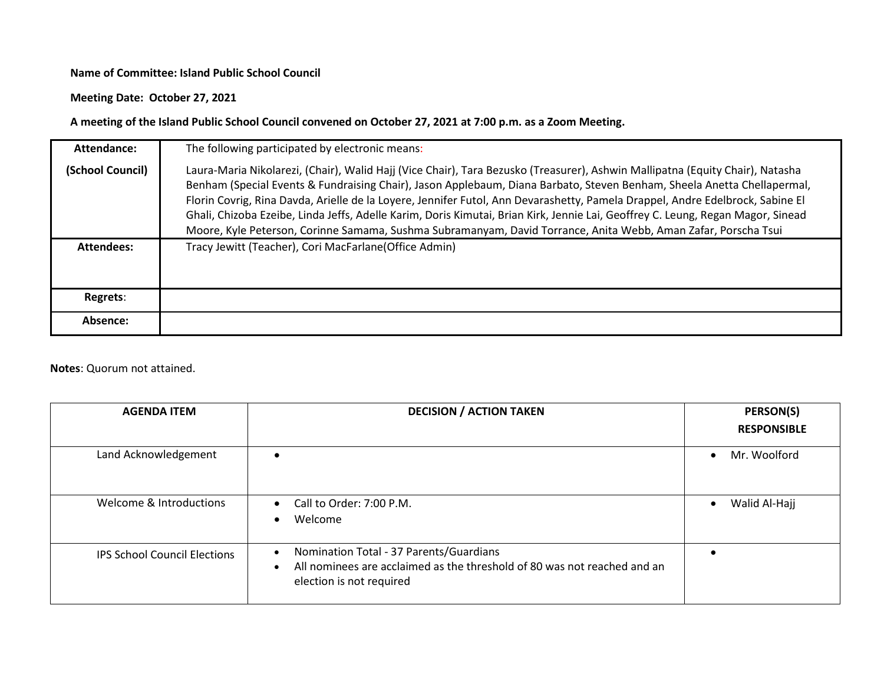## **Name of Committee: Island Public School Council**

## **Meeting Date: October 27, 2021**

## **A meeting of the Island Public School Council convened on October 27, 2021 at 7:00 p.m. as a Zoom Meeting.**

| Attendance:       | The following participated by electronic means:                                                                                                                                                                                                                                                                                                                                                                                                                                                                                                                                                                                                |
|-------------------|------------------------------------------------------------------------------------------------------------------------------------------------------------------------------------------------------------------------------------------------------------------------------------------------------------------------------------------------------------------------------------------------------------------------------------------------------------------------------------------------------------------------------------------------------------------------------------------------------------------------------------------------|
| (School Council)  | Laura-Maria Nikolarezi, (Chair), Walid Hajj (Vice Chair), Tara Bezusko (Treasurer), Ashwin Mallipatna (Equity Chair), Natasha<br>Benham (Special Events & Fundraising Chair), Jason Applebaum, Diana Barbato, Steven Benham, Sheela Anetta Chellapermal,<br>Florin Covrig, Rina Davda, Arielle de la Loyere, Jennifer Futol, Ann Devarashetty, Pamela Drappel, Andre Edelbrock, Sabine El<br>Ghali, Chizoba Ezeibe, Linda Jeffs, Adelle Karim, Doris Kimutai, Brian Kirk, Jennie Lai, Geoffrey C. Leung, Regan Magor, Sinead<br>Moore, Kyle Peterson, Corinne Samama, Sushma Subramanyam, David Torrance, Anita Webb, Aman Zafar, Porscha Tsui |
| <b>Attendees:</b> | Tracy Jewitt (Teacher), Cori MacFarlane(Office Admin)                                                                                                                                                                                                                                                                                                                                                                                                                                                                                                                                                                                          |
| Regrets:          |                                                                                                                                                                                                                                                                                                                                                                                                                                                                                                                                                                                                                                                |
| Absence:          |                                                                                                                                                                                                                                                                                                                                                                                                                                                                                                                                                                                                                                                |

## **Notes**: Quorum not attained.

| <b>AGENDA ITEM</b>                  | <b>DECISION / ACTION TAKEN</b>                                                                                                                                            | <b>PERSON(S)</b>   |
|-------------------------------------|---------------------------------------------------------------------------------------------------------------------------------------------------------------------------|--------------------|
|                                     |                                                                                                                                                                           | <b>RESPONSIBLE</b> |
| Land Acknowledgement                |                                                                                                                                                                           | Mr. Woolford       |
| Welcome & Introductions             | Call to Order: 7:00 P.M.<br>$\bullet$<br>Welcome<br>$\bullet$                                                                                                             | Walid Al-Hajj      |
| <b>IPS School Council Elections</b> | Nomination Total - 37 Parents/Guardians<br>$\bullet$<br>All nominees are acclaimed as the threshold of 80 was not reached and an<br>$\bullet$<br>election is not required |                    |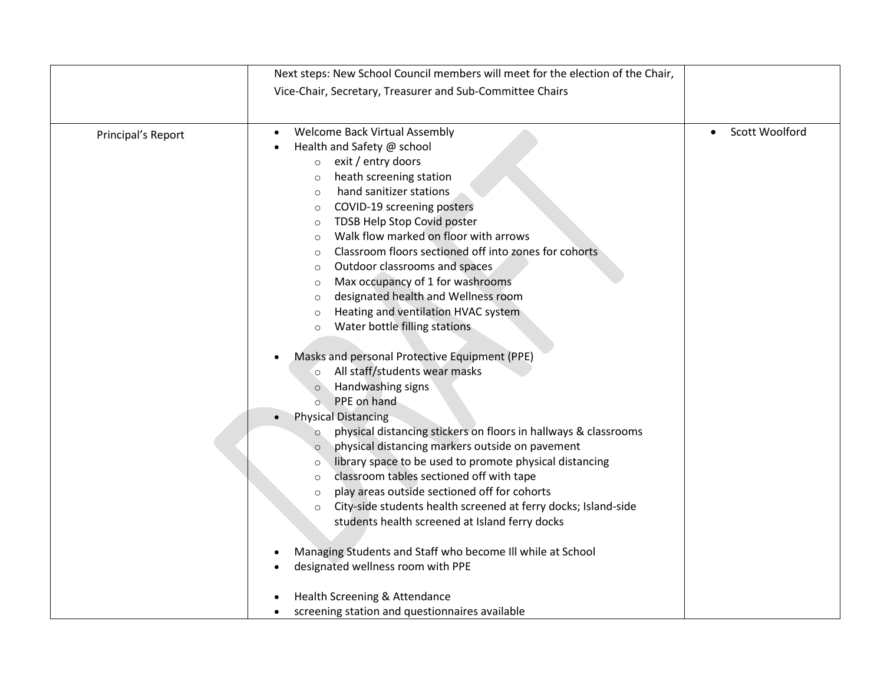|                    | Next steps: New School Council members will meet for the election of the Chair, |                |
|--------------------|---------------------------------------------------------------------------------|----------------|
|                    | Vice-Chair, Secretary, Treasurer and Sub-Committee Chairs                       |                |
|                    |                                                                                 |                |
|                    |                                                                                 |                |
| Principal's Report | Welcome Back Virtual Assembly                                                   | Scott Woolford |
|                    | Health and Safety @ school                                                      |                |
|                    | exit / entry doors<br>$\circ$                                                   |                |
|                    | heath screening station<br>$\circ$                                              |                |
|                    | hand sanitizer stations<br>$\circ$                                              |                |
|                    | COVID-19 screening posters<br>$\circ$                                           |                |
|                    | TDSB Help Stop Covid poster<br>$\circ$                                          |                |
|                    | Walk flow marked on floor with arrows<br>$\circ$                                |                |
|                    | Classroom floors sectioned off into zones for cohorts<br>$\circ$                |                |
|                    | Outdoor classrooms and spaces<br>$\circ$                                        |                |
|                    | Max occupancy of 1 for washrooms<br>$\circ$                                     |                |
|                    | designated health and Wellness room<br>$\circ$                                  |                |
|                    | Heating and ventilation HVAC system<br>$\circ$                                  |                |
|                    | Water bottle filling stations<br>$\circ$                                        |                |
|                    |                                                                                 |                |
|                    | Masks and personal Protective Equipment (PPE)                                   |                |
|                    | All staff/students wear masks<br>$\circ$                                        |                |
|                    | Handwashing signs<br>$\circ$                                                    |                |
|                    | PPE on hand<br>$\circ$                                                          |                |
|                    | <b>Physical Distancing</b><br>$\bullet$                                         |                |
|                    | physical distancing stickers on floors in hallways & classrooms<br>$\circ$      |                |
|                    | physical distancing markers outside on pavement<br>$\circ$                      |                |
|                    | library space to be used to promote physical distancing<br>$\circ$              |                |
|                    | classroom tables sectioned off with tape<br>$\circ$                             |                |
|                    | play areas outside sectioned off for cohorts<br>$\circ$                         |                |
|                    | City-side students health screened at ferry docks; Island-side<br>$\circ$       |                |
|                    | students health screened at Island ferry docks                                  |                |
|                    |                                                                                 |                |
|                    | Managing Students and Staff who become III while at School                      |                |
|                    | designated wellness room with PPE                                               |                |
|                    | Health Screening & Attendance                                                   |                |
|                    | screening station and questionnaires available<br>$\bullet$                     |                |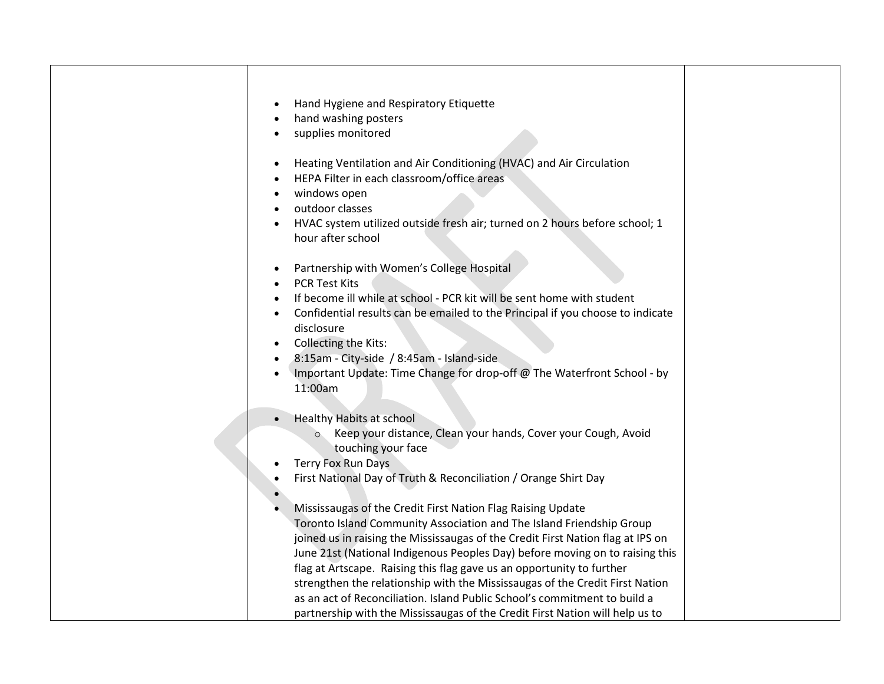|           | Hand Hygiene and Respiratory Etiquette                                          |  |
|-----------|---------------------------------------------------------------------------------|--|
|           | hand washing posters                                                            |  |
| $\bullet$ | supplies monitored                                                              |  |
|           |                                                                                 |  |
| $\bullet$ | Heating Ventilation and Air Conditioning (HVAC) and Air Circulation             |  |
|           | HEPA Filter in each classroom/office areas                                      |  |
| $\bullet$ | windows open                                                                    |  |
|           | outdoor classes                                                                 |  |
|           | HVAC system utilized outside fresh air; turned on 2 hours before school; 1      |  |
|           | hour after school                                                               |  |
|           |                                                                                 |  |
| $\bullet$ | Partnership with Women's College Hospital                                       |  |
|           | <b>PCR Test Kits</b>                                                            |  |
|           | If become ill while at school - PCR kit will be sent home with student          |  |
|           | Confidential results can be emailed to the Principal if you choose to indicate  |  |
|           | disclosure                                                                      |  |
|           | Collecting the Kits:<br>8:15am - City-side / 8:45am - Island-side               |  |
|           | Important Update: Time Change for drop-off @ The Waterfront School - by         |  |
|           | 11:00am                                                                         |  |
|           |                                                                                 |  |
|           | <b>Healthy Habits at school</b>                                                 |  |
|           | Keep your distance, Clean your hands, Cover your Cough, Avoid<br>$\circ$        |  |
|           | touching your face                                                              |  |
|           | Terry Fox Run Days                                                              |  |
|           | First National Day of Truth & Reconciliation / Orange Shirt Day                 |  |
|           |                                                                                 |  |
|           | Mississaugas of the Credit First Nation Flag Raising Update                     |  |
|           | Toronto Island Community Association and The Island Friendship Group            |  |
|           | joined us in raising the Mississaugas of the Credit First Nation flag at IPS on |  |
|           | June 21st (National Indigenous Peoples Day) before moving on to raising this    |  |
|           | flag at Artscape. Raising this flag gave us an opportunity to further           |  |
|           | strengthen the relationship with the Mississaugas of the Credit First Nation    |  |
|           | as an act of Reconciliation. Island Public School's commitment to build a       |  |
|           | partnership with the Mississaugas of the Credit First Nation will help us to    |  |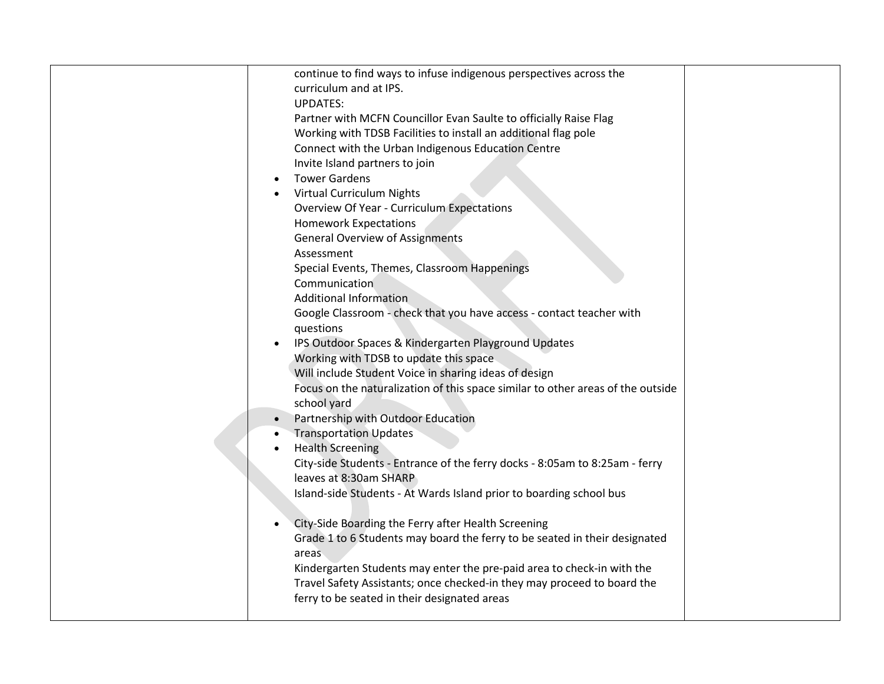| continue to find ways to infuse indigenous perspectives across the              |  |
|---------------------------------------------------------------------------------|--|
| curriculum and at IPS.                                                          |  |
| <b>UPDATES:</b>                                                                 |  |
| Partner with MCFN Councillor Evan Saulte to officially Raise Flag               |  |
| Working with TDSB Facilities to install an additional flag pole                 |  |
| Connect with the Urban Indigenous Education Centre                              |  |
| Invite Island partners to join                                                  |  |
| <b>Tower Gardens</b>                                                            |  |
| <b>Virtual Curriculum Nights</b>                                                |  |
| $\bullet$                                                                       |  |
| <b>Overview Of Year - Curriculum Expectations</b>                               |  |
| <b>Homework Expectations</b>                                                    |  |
| <b>General Overview of Assignments</b>                                          |  |
| Assessment                                                                      |  |
| Special Events, Themes, Classroom Happenings                                    |  |
| Communication                                                                   |  |
| <b>Additional Information</b>                                                   |  |
| Google Classroom - check that you have access - contact teacher with            |  |
| questions                                                                       |  |
| IPS Outdoor Spaces & Kindergarten Playground Updates                            |  |
| Working with TDSB to update this space                                          |  |
| Will include Student Voice in sharing ideas of design                           |  |
| Focus on the naturalization of this space similar to other areas of the outside |  |
| school yard                                                                     |  |
| Partnership with Outdoor Education                                              |  |
| <b>Transportation Updates</b>                                                   |  |
| <b>Health Screening</b>                                                         |  |
| City-side Students - Entrance of the ferry docks - 8:05am to 8:25am - ferry     |  |
| leaves at 8:30am SHARP                                                          |  |
| Island-side Students - At Wards Island prior to boarding school bus             |  |
|                                                                                 |  |
| City-Side Boarding the Ferry after Health Screening<br>$\bullet$                |  |
| Grade 1 to 6 Students may board the ferry to be seated in their designated      |  |
| areas                                                                           |  |
| Kindergarten Students may enter the pre-paid area to check-in with the          |  |
| Travel Safety Assistants; once checked-in they may proceed to board the         |  |
| ferry to be seated in their designated areas                                    |  |
|                                                                                 |  |
|                                                                                 |  |